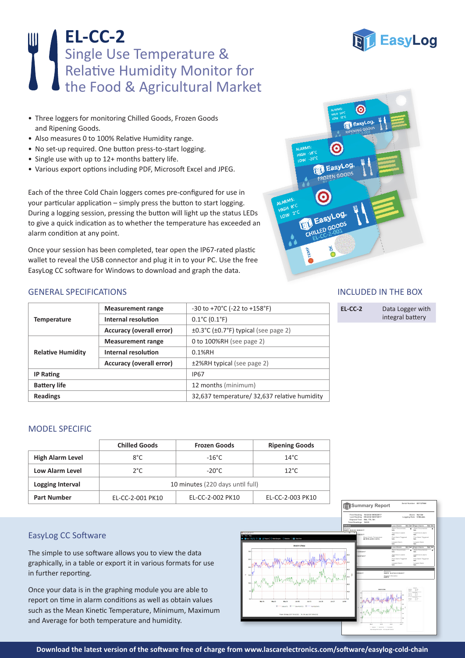# **EL-CC-2** Single Use Temperature & Relative Humidity Monitor for the Food & Agricultural Market

- Three loggers for monitoring Chilled Goods, Frozen Goods and Ripening Goods.
- Also measures 0 to 100% Relative Humidity range.
- No set-up required. One button press-to-start logging.
- Single use with up to 12+ months battery life.
- • Various export options including PDF, Microsoft Excel and JPEG.

Each of the three Cold Chain loggers comes pre-configured for use in your particular application – simply press the button to start logging. During a logging session, pressing the button will light up the status LEDs to give a quick indication as to whether the temperature has exceeded an alarm condition at any point.

Once your session has been completed, tear open the IP67-rated plastic wallet to reveal the USB connector and plug it in to your PC. Use the free EasyLog CC software for Windows to download and graph the data.



## GENERAL SPECIFICATIONS

| <b>Temperature</b>       | <b>Measurement range</b>        | -30 to +70°C (-22 to +158°F)                                    |  |
|--------------------------|---------------------------------|-----------------------------------------------------------------|--|
|                          | Internal resolution             | $0.1^{\circ}$ C (0.1 $^{\circ}$ F)                              |  |
|                          | Accuracy (overall error)        | $\pm 0.3^{\circ}$ C ( $\pm 0.7^{\circ}$ F) typical (see page 2) |  |
| <b>Relative Humidity</b> | <b>Measurement range</b>        | 0 to $100\%RH$ (see page 2)                                     |  |
|                          | Internal resolution             | $0.1%$ RH                                                       |  |
|                          | <b>Accuracy (overall error)</b> | ±2%RH typical (see page 2)                                      |  |
| <b>IP Rating</b>         |                                 | IP <sub>67</sub>                                                |  |
| <b>Battery life</b>      |                                 | 12 months (minimum)                                             |  |
| <b>Readings</b>          |                                 | 32,637 temperature/ 32,637 relative humidity                    |  |

MODEL SPECIFIC

|                         | <b>Chilled Goods</b>             | <b>Frozen Goods</b> | <b>Ripening Goods</b> |
|-------------------------|----------------------------------|---------------------|-----------------------|
| <b>High Alarm Level</b> | $8^{\circ}$ C                    | $-16^{\circ}$ C     | $14^{\circ}$ C        |
| Low Alarm Level         | $2^{\circ}$ C                    | $-20^{\circ}$ C     | $12^{\circ}$ C        |
| Logging Interval        | 10 minutes (220 days until full) |                     |                       |
| <b>Part Number</b>      | EL-CC-2-001 PK10                 | EL-CC-2-002 PK10    | EL-CC-2-003 PK10      |

# EasyLog CC Software

The simple to use software allows you to view the data graphically, in a table or export it in various formats for use in further reporting.

Once your data is in the graphing module you are able to report on time in alarm conditions as well as obtain values such as the Mean Kinetic Temperature, Minimum, Maximum and Average for both temperature and humidity.



## INCLUDED IN THE BOX

| EL-CC-2 | Data Logger with |
|---------|------------------|
|         | integral battery |